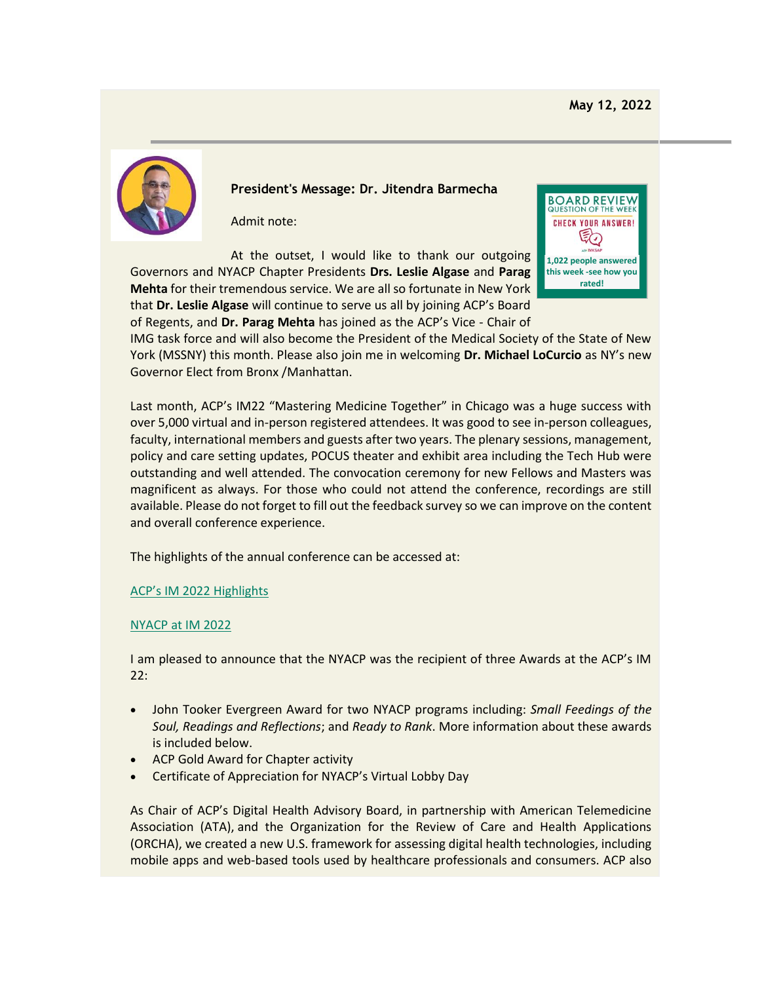

**President's Message: Dr. Jitendra Barmecha**

Admit note:

At the outset, I would like to thank our outgoing Governors and NYACP Chapter Presidents **Drs. Leslie Algase** and **Parag Mehta** for their tremendous service. We are all so fortunate in New York that **Dr. Leslie Algase** will continue to serve us all by joining ACP's Board of Regents, and **Dr. Parag Mehta** has joined as the ACP's Vice - Chair of



IMG task force and will also become the President of the Medical Society of the State of New York (MSSNY) this month. Please also join me in welcoming **Dr. Michael LoCurcio** as NY's new Governor Elect from Bronx /Manhattan.

Last month, ACP's IM22 "Mastering Medicine Together" in Chicago was a huge success with over 5,000 virtual and in-person registered attendees. It was good to see in-person colleagues, faculty, international members and guests after two years. The plenary sessions, management, policy and care setting updates, POCUS theater and exhibit area including the Tech Hub were outstanding and well attended. The convocation ceremony for new Fellows and Masters was magnificent as always. For those who could not attend the conference, recordings are still available. Please do not forget to fill out the feedback survey so we can improve on the content and overall conference experience.

The highlights of the annual conference can be accessed at:

[ACP's IM 2022 Highlights](https://www.votervoice.net/BroadcastLinks/EwjCunO5JnDMk5i3N0W6mw)

## [NYACP at IM 2022](https://www.votervoice.net/BroadcastLinks/Ha6ZbE2PYooRK_aEiHP_xA)

I am pleased to announce that the NYACP was the recipient of three Awards at the ACP's IM 22:

- John Tooker Evergreen Award for two NYACP programs including: *Small Feedings of the Soul, Readings and Reflections*; and *Ready to Rank*. More information about these awards is included below.
- ACP Gold Award for Chapter activity
- Certificate of Appreciation for NYACP's Virtual Lobby Day

As Chair of ACP's Digital Health Advisory Board, in partnership with American Telemedicine Association (ATA), and the Organization for the Review of Care and Health Applications (ORCHA), we created a new U.S. framework for assessing digital health technologies, including mobile apps and web-based tools used by healthcare professionals and consumers. ACP also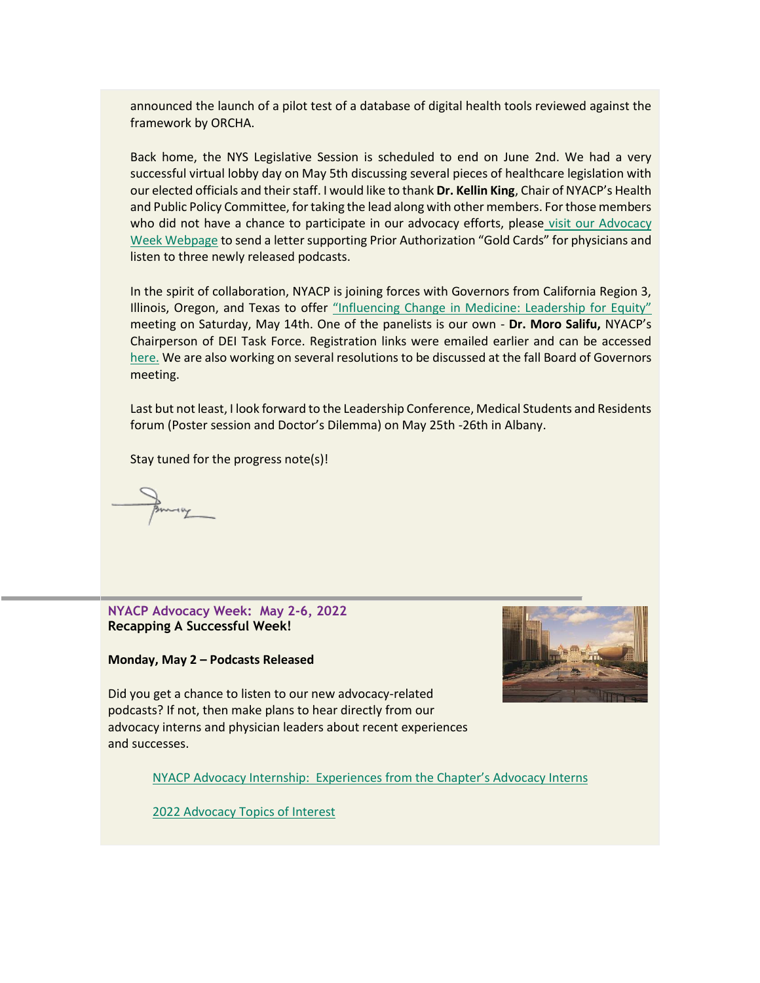announced the launch of a pilot test of a database of digital health tools reviewed against the framework by ORCHA.

Back home, the NYS Legislative Session is scheduled to end on June 2nd. We had a very successful virtual lobby day on May 5th discussing several pieces of healthcare legislation with our elected officials and their staff. I would like to thank **Dr. Kellin King**, Chair of NYACP's Health and Public Policy Committee, for taking the lead along with other members. For those members who did not have a chance to participate in our advocacy efforts, please visit our Advocacy [Week Webpage](https://www.votervoice.net/BroadcastLinks/Vn-6corX8rW9J-b2xWgT6g) to send a letter supporting Prior Authorization "Gold Cards" for physicians and listen to three newly released podcasts.

In the spirit of collaboration, NYACP is joining forces with Governors from California Region 3, Illinois, Oregon, and Texas to offer ["Influencing Change in Medicine: Leadership for Equity"](https://www.votervoice.net/BroadcastLinks/L8rYoWb_9UrUUHg57PE0Mg) meeting on Saturday, May 14th. One of the panelists is our own - **Dr. Moro Salifu,** NYACP's Chairperson of DEI Task Force. Registration links were emailed earlier and can be accessed [here.](https://www.votervoice.net/BroadcastLinks/L8rYoWb_9UrUUHg57PE0Mg) We are also working on several resolutions to be discussed at the fall Board of Governors meeting.

Last but not least, I look forward to the Leadership Conference, Medical Students and Residents forum (Poster session and Doctor's Dilemma) on May 25th -26th in Albany.

Stay tuned for the progress note(s)!

**NYACP Advocacy Week: May 2-6, 2022 Recapping A Successful Week!**

**Monday, May 2 – Podcasts Released**



Did you get a chance to listen to our new advocacy-related podcasts? If not, then make plans to hear directly from our advocacy interns and physician leaders about recent experiences and successes.

NYACP Advocacy Internship: Experiences from [the Chapter's Advocacy Interns](https://www.votervoice.net/BroadcastLinks/ISPtBGftCV7T3XJAt3A4Mg)

[2022 Advocacy Topics of Interest](https://www.votervoice.net/BroadcastLinks/me63Doaa7aXnVW90ZQhW2w)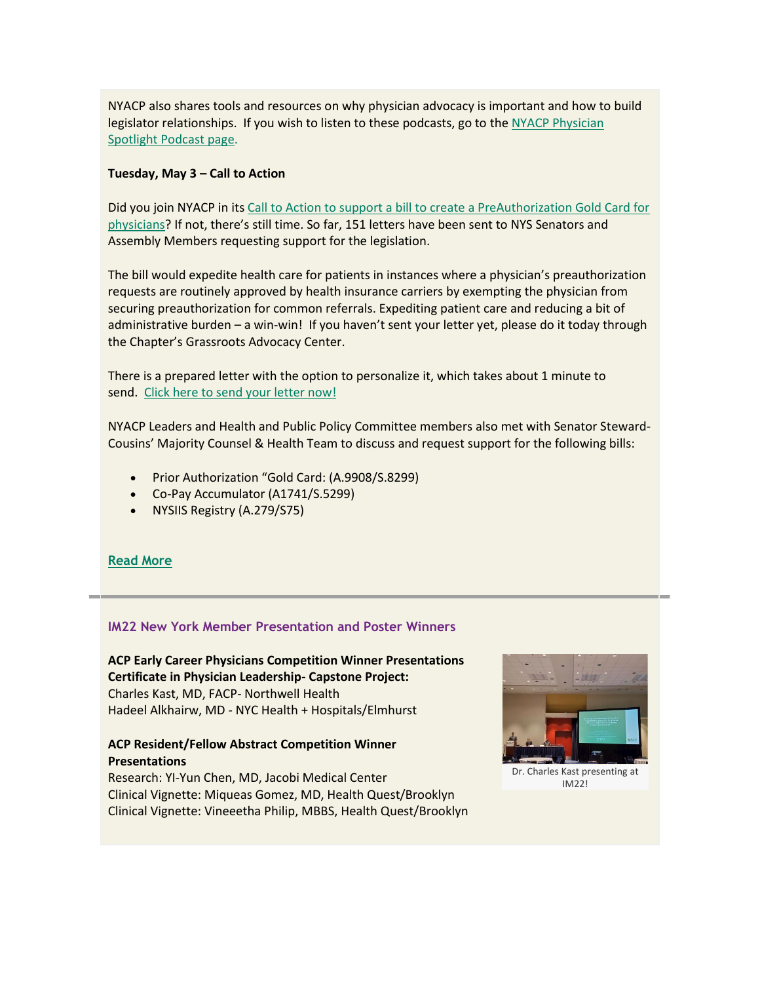NYACP also shares tools and resources on why physician advocacy is important and how to build legislator relationships. If you wish to listen to these podcasts, go to the NYACP Physician [Spotlight Podcast page.](https://www.votervoice.net/BroadcastLinks/Q9-wwCJYjMB2nA_Jq8sUeg)

#### **Tuesday, May 3 – Call to Action**

Did you join NYACP in it[s Call to Action to support a bill to create a PreAuthorization Gold Card for](https://www.votervoice.net/BroadcastLinks/EjyLOj1PIGTomvOPTCUlVA)  [physicians](https://www.votervoice.net/BroadcastLinks/EjyLOj1PIGTomvOPTCUlVA)? If not, there's still time. So far, 151 letters have been sent to NYS Senators and Assembly Members requesting support for the legislation.

The bill would expedite health care for patients in instances where a physician's preauthorization requests are routinely approved by health insurance carriers by exempting the physician from securing preauthorization for common referrals. Expediting patient care and reducing a bit of administrative burden – a win-win! If you haven't sent your letter yet, please do it today through the Chapter's Grassroots Advocacy Center.

There is a prepared letter with the option to personalize it, which takes about 1 minute to send. [Click here to send your letter now!](https://www.votervoice.net/BroadcastLinks/EjyLOj1PIGTomvOPTCUlVA)

NYACP Leaders and Health and Public Policy Committee members also met with Senator Steward-Cousins' Majority Counsel & Health Team to discuss and request support for the following bills:

- Prior Authorization "Gold Card: (A.9908/S.8299)
- Co-Pay Accumulator (A1741/S.5299)
- NYSIIS Registry (A.279/S75)

## **[Read More](https://www.votervoice.net/BroadcastLinks/sgsAGEqoe_MUwLfNmJhL4A)**

## **IM22 New York Member Presentation and Poster Winners**

**ACP Early Career Physicians Competition Winner Presentations Certificate in Physician Leadership- Capstone Project:** Charles Kast, MD, FACP- Northwell Health Hadeel Alkhairw, MD - NYC Health + Hospitals/Elmhurst

## **ACP Resident/Fellow Abstract Competition Winner Presentations**

Research: YI-Yun Chen, MD, Jacobi Medical Center Clinical Vignette: Miqueas Gomez, MD, Health Quest/Brooklyn Clinical Vignette: Vineeetha Philip, MBBS, Health Quest/Brooklyn



Dr. Charles Kast presenting at IM22!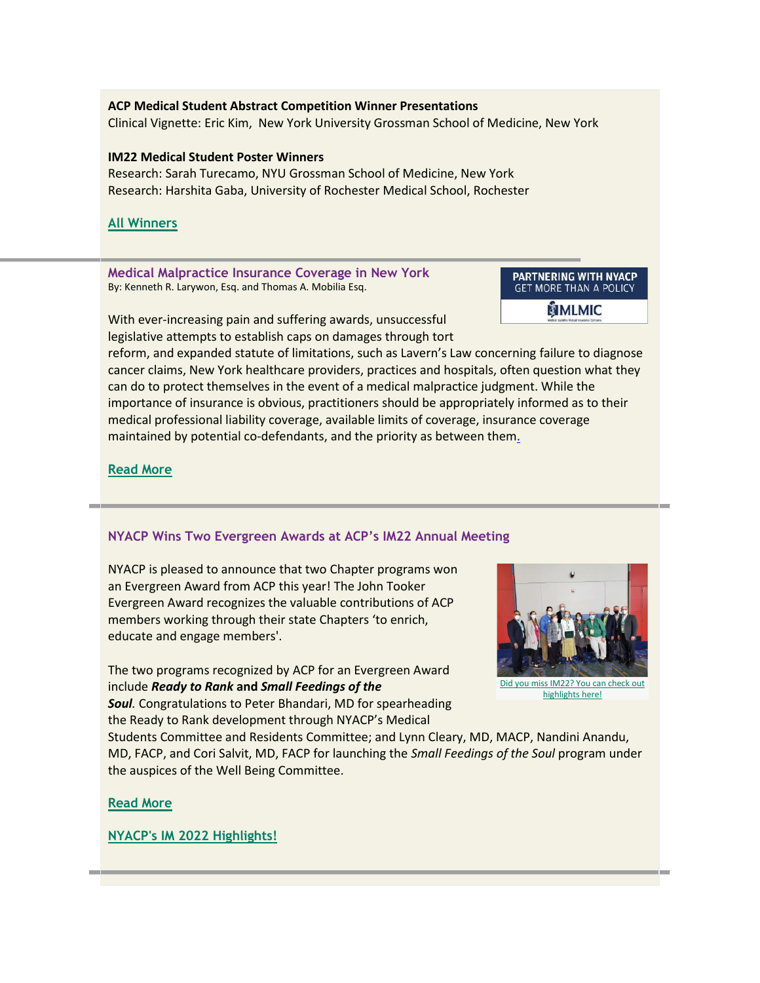## **ACP Medical Student Abstract Competition Winner Presentations** Clinical Vignette: Eric Kim, New York University Grossman School of Medicine, New York

#### **IM22 Medical Student Poster Winners**

Research: Sarah Turecamo, NYU Grossman School of Medicine, New York Research: Harshita Gaba, University of Rochester Medical School, Rochester

## **[All Winners](https://www.votervoice.net/BroadcastLinks/TUCVC47IwUXdy3Qb4htSMg)**

**Medical Malpractice Insurance Coverage in New York** By: Kenneth R. Larywon, Esq. and Thomas A. Mobilia Esq.

#### **PARTNERING WITH NYACP GET MORE THAN A POLICY**

MLMIC

With ever-increasing pain and suffering awards, unsuccessful legislative attempts to establish caps on damages through tort

reform, and expanded statute of limitations, such as Lavern's Law concerning failure to diagnose cancer claims, New York healthcare providers, practices and hospitals, often question what they can do to protect themselves in the event of a medical malpractice judgment. While the importance of insurance is obvious, practitioners should be appropriately informed as to their medical professional liability coverage, available limits of coverage, insurance coverage maintained by potential co-defendants, and the priority as between the[m.](https://www.votervoice.net/BroadcastLinks/Mb5162HvUZ05P2rcZwb2eQ)

## **[Read More](https://www.votervoice.net/BroadcastLinks/Mb5162HvUZ05P2rcZwb2eQ)**

## **NYACP Wins Two Evergreen Awards at ACP's IM22 Annual Meeting**

NYACP is pleased to announce that two Chapter programs won an Evergreen Award from ACP this year! The John Tooker Evergreen Award recognizes the valuable contributions of ACP members working through their state Chapters 'to enrich, educate and engage members'.

The two programs recognized by ACP for an Evergreen Award include *Ready to Rank* **and** *Small Feedings of the Soul.* Congratulations to Peter Bhandari, MD for spearheading



[highlights here!](https://www.votervoice.net/BroadcastLinks/Ha6ZbE2PYooRK_aEiHP_xA)

the Ready to Rank development through NYACP's Medical Students Committee and Residents Committee; and Lynn Cleary, MD, MACP, Nandini Anandu, MD, FACP, and Cori Salvit, MD, FACP for launching the *Small Feedings of the Soul* program under

the auspices of the Well Being Committee.

#### **[Read More](https://www.votervoice.net/BroadcastLinks/HX4NwFoQ8EioEEsQIB10bw)**

**[NYACP's IM 2022 Highlights!](https://www.votervoice.net/BroadcastLinks/Ha6ZbE2PYooRK_aEiHP_xA)**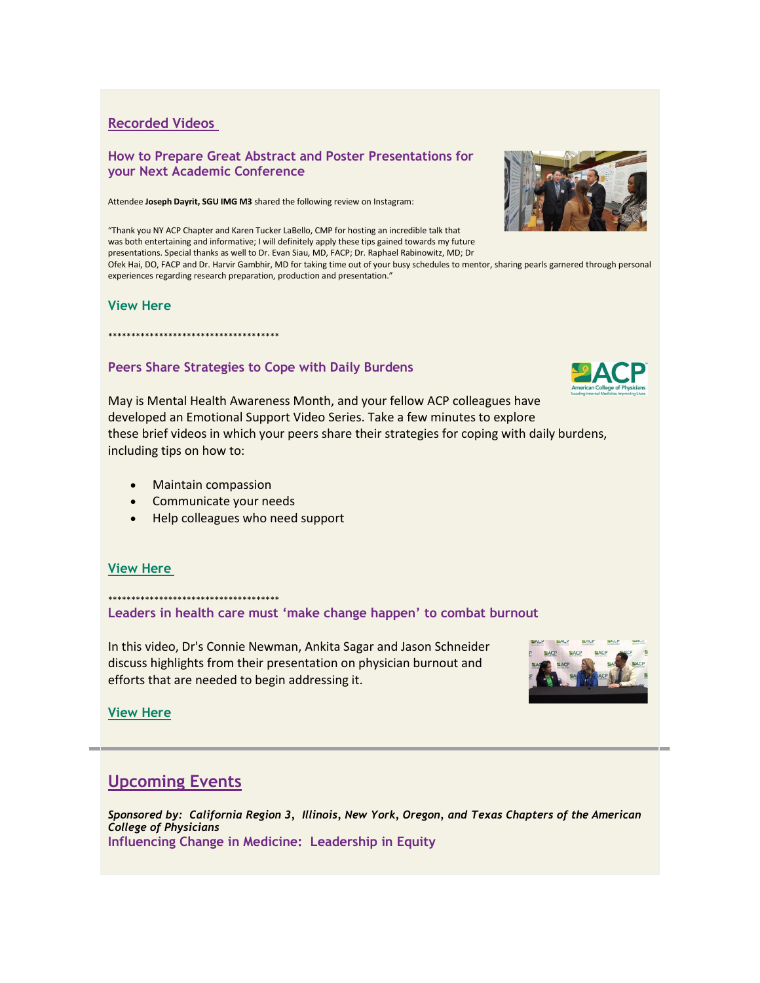## **Recorded Videos**

#### **How to Prepare Great Abstract and Poster Presentations for your Next Academic Conference**

Attendee **Joseph Dayrit, SGU IMG M3** shared the following review on Instagram:

"Thank you NY ACP Chapter and Karen Tucker LaBello, CMP for hosting an incredible talk that was both entertaining and informative; I will definitely apply these tips gained towards my future presentations. Special thanks as well to Dr. Evan Siau, MD, FACP; Dr. Raphael Rabinowitz, MD; Dr

Ofek Hai, DO, FACP and Dr. Harvir Gambhir, MD for taking time out of your busy schedules to mentor, sharing pearls garnered through personal experiences regarding research preparation, production and presentation."

#### **View Here**

# **Peers Share Strategies to Cope with Daily Burdens**

May is Mental Health Awareness Month, and your fellow ACP colleagues have developed an Emotional Support Video Series. Take a few minutes to explore these brief videos in which your peers share their strategies for coping with daily burdens, including tips on how to:

• Maintain compassion

\*\*\*\*\*\*\*\*\*\*\*\*\*\*\*\*\*\*\*\*\*\*\*\*\*\*\*\*\*\*\*\*\*\*\*\*\*

- Communicate your needs
- Help colleagues who need support

## **[View Here](https://www.votervoice.net/BroadcastLinks/-GG2lFTrhfHH9jqU5a0Wuw)**

\*\*\*\*\*\*\*\*\*\*\*\*\*\*\*\*\*\*\*\*\*\*\*\*\*\*\*\*\*\*\*\*\*\*\*\*\* **Leaders in health care must 'make change happen' to combat burnout**

In this video, Dr's Connie Newman, Ankita Sagar and Jason Schneider discuss highlights from their presentation on physician burnout and efforts that are needed to begin addressing it.



**[View Here](https://www.votervoice.net/BroadcastLinks/YlH76MF2fW1o1eSu8nPtuQ)**

## **Upcoming Events**

*Sponsored by: California Region 3, Illinois, New York, Oregon, and Texas Chapters of the American College of Physicians* **Influencing Change in Medicine: Leadership in Equity**



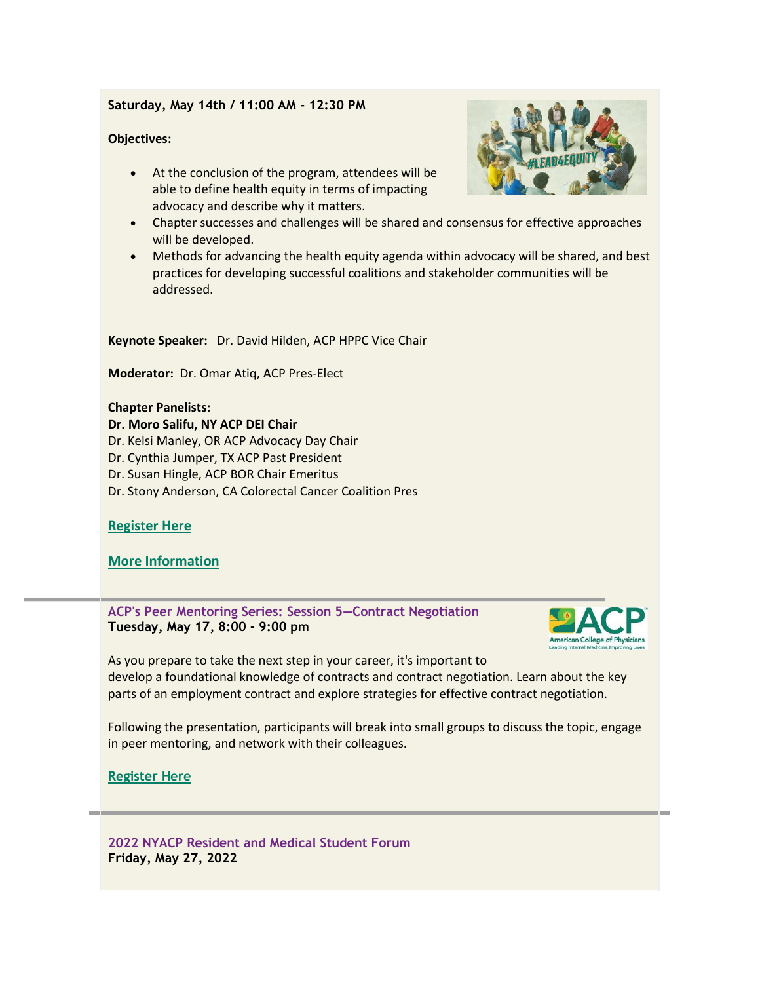## **Saturday, May 14th / 11:00 AM - 12:30 PM**

#### **Objectives:**

- At the conclusion of the program, attendees will be able to define health equity in terms of impacting advocacy and describe why it matters.
- Chapter successes and challenges will be shared and consensus for effective approaches will be developed.
- Methods for advancing the health equity agenda within advocacy will be shared, and best practices for developing successful coalitions and stakeholder communities will be addressed.

**Keynote Speaker:** Dr. David Hilden, ACP HPPC Vice Chair

**Moderator:** Dr. Omar Atiq, ACP Pres-Elect

#### **Chapter Panelists:**

- **Dr. Moro Salifu, NY ACP DEI Chair**
- Dr. Kelsi Manley, OR ACP Advocacy Day Chair
- Dr. Cynthia Jumper, TX ACP Past President
- Dr. Susan Hingle, ACP BOR Chair Emeritus
- Dr. Stony Anderson, CA Colorectal Cancer Coalition Pres

## **[Register Here](https://www.votervoice.net/BroadcastLinks/cYM-pw06obgvu8rer7lz5Q)**

**[More Information](https://www.votervoice.net/BroadcastLinks/3Qvs5P2CBUjAX9l9NPOWXQ)**

**ACP's Peer Mentoring Series: Session 5—Contract Negotiation Tuesday, May 17, 8:00 - 9:00 pm**



As you prepare to take the next step in your career, it's important to develop a foundational knowledge of contracts and contract negotiation. Learn about the key parts of an employment contract and explore strategies for effective contract negotiation.

Following the presentation, participants will break into small groups to discuss the topic, engage in peer mentoring, and network with their colleagues.

## **[Register Here](https://www.votervoice.net/BroadcastLinks/ZaORcxa1_PFqtY0fUb57hg)**

**2022 NYACP Resident and Medical Student Forum Friday, May 27, 2022**

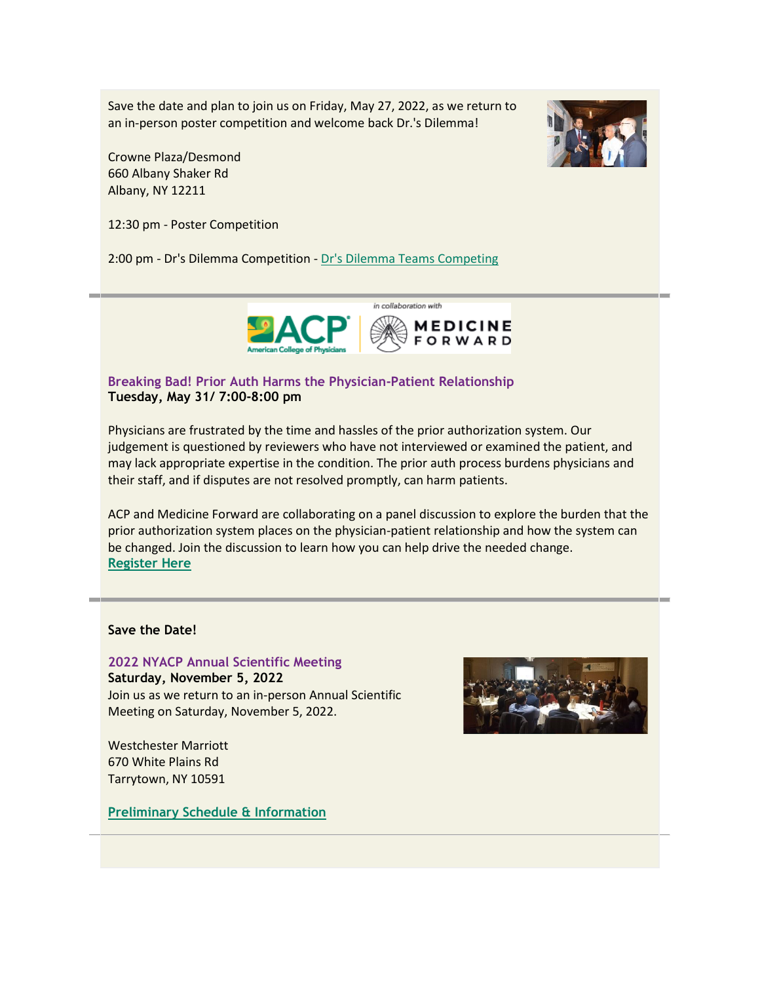Save the date and plan to join us on Friday, May 27, 2022, as we return to an in-person poster competition and welcome back Dr.'s Dilemma!

Crowne Plaza/Desmond 660 Albany Shaker Rd Albany, NY 12211

12:30 pm - Poster Competition

2:00 pm - Dr's Dilemma Competition - [Dr's Dilemma Teams Competing](https://www.votervoice.net/BroadcastLinks/HQ4fTncp59RyCZe7DtlEJg)



## **Breaking Bad! Prior Auth Harms the Physician-Patient Relationship Tuesday, May 31/ 7:00-8:00 pm**

Physicians are frustrated by the time and hassles of the prior authorization system. Our judgement is questioned by reviewers who have not interviewed or examined the patient, and may lack appropriate expertise in the condition. The prior auth process burdens physicians and their staff, and if disputes are not resolved promptly, can harm patients.

ACP and Medicine Forward are collaborating on a panel discussion to explore the burden that the prior authorization system places on the physician-patient relationship and how the system can be changed. Join the discussion to learn how you can help drive the needed change. **[Register Here](https://www.votervoice.net/BroadcastLinks/cmj9hgHT5jVtqUJtKn2jFw)**

### **Save the Date!**

**2022 NYACP Annual Scientific Meeting**

**Saturday, November 5, 2022** Join us as we return to an in-person Annual Scientific Meeting on Saturday, November 5, 2022.

Westchester Marriott 670 White Plains Rd Tarrytown, NY 10591

**[Preliminary Schedule](https://www.votervoice.net/BroadcastLinks/U1J3mD48HCSjsrRjRtkd9A) & Information**